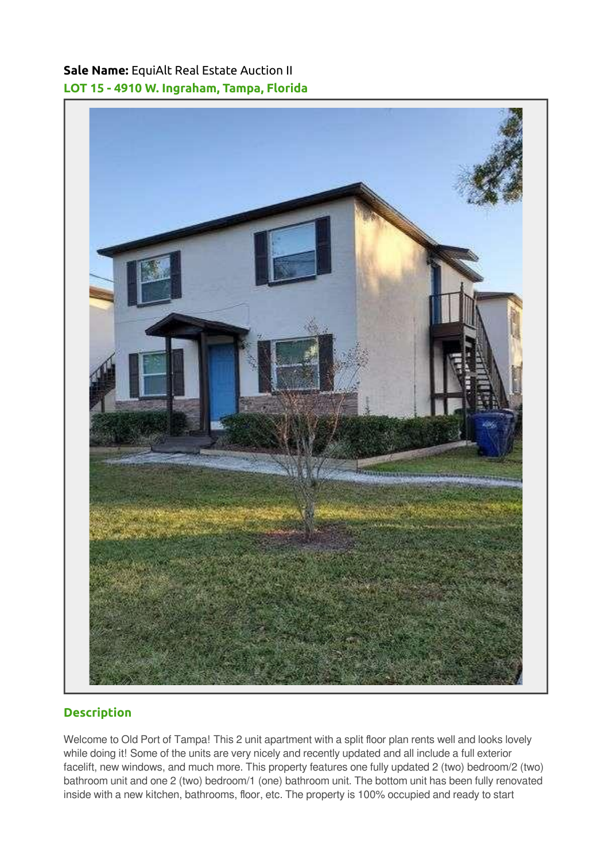Sale Name: EquiAlt Real Estate Auction II LOT 15 - 4910 W. Ingraham, Tampa, Florida



## **Description**

Welcome to Old Port of Tampa! This 2 unit apartment with a split floor plan rents well and looks lovely while doing it! Some of the units are very nicely and recently updated and all include a full exterior facelift, new windows, and much more. This property features one fully updated 2 (two) bedroom/2 (two) bathroom unit and one 2 (two) bedroom/1 (one) bathroom unit. The bottom unit has been fully renovated inside with a new kitchen, bathrooms, floor, etc. The property is 100% occupied and ready to start